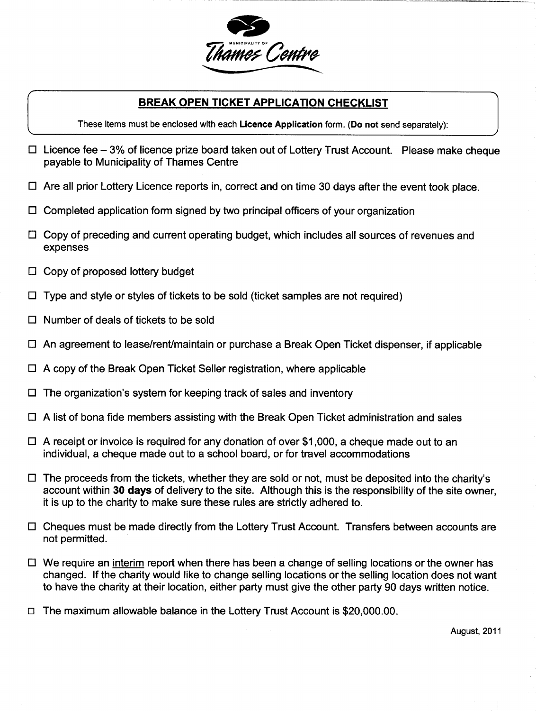

## BREAK OPEN TICKET APPLICATION CHECKLIST

These items must be enclosed with each Licence Application form. (Do not send separately):

- $\Box$  Licence fee 3% of licence prize board taken out of Lottery Trust Account. Please make cheque payable to Municipality of Thames Centre
- $\Box$  Are all prior Lottery Licence reports in, correct and on time 30 days after the event took place.
- $\Box$  Completed application form signed by two principal officers of your organization
- $\Box$  Copy of preceding and current operating budget, which includes all sources of revenues and expenses
- $\Box$  Copy of proposed lottery budget
- $\Box$  Type and style or styles of tickets to be sold (ticket samples are not required)
- $\Box$  Number of deals of tickets to be sold
- $\Box$  An agreement to lease/rent/maintain or purchase a Break Open Ticket dispenser, if applicable
- $\Box$  A copy of the Break Open Ticket Seller registration, where applicable
- Type and style or styles of tickets to be sold (ticket samples are no<br>Number of deals of tickets to be sold<br>An agreement to lease/rent/maintain or purchase a Break Open Ti<br>A copy of the Break Open Ticket Seller registratio
- $\Box$  A list of bona fide members assisting with the Break Open Ticket administration and sales
- $\Box$  A receipt or invoice is required for any donation of over \$1,000, a cheque made out to an individual, a cheque made out to a school board, or for travel accommodations
- A receipt or invoice is required for any donation of over \$1,000, a cheque made out to an individual, a cheque made out to a school board, or for travel accommodations<br>The proceeds from the tickets, whether they are sold it is up to the charity to make sure these rules are strictly adhered to
- $\Box$  Cheques must be made directly from the Lottery Trust Account. Transfers between accounts are not permitted
- $\Box$  We require an interim report when there has been a change of selling locations or the owner has changed. If the charity would like to change selling locations or the selling location does not want to have the charity at their location, either party must give the other party 90 days written notice.<br>The maximum allowable balance in the Lottery Trust Account is \$20,000.00.
- 

August, 2011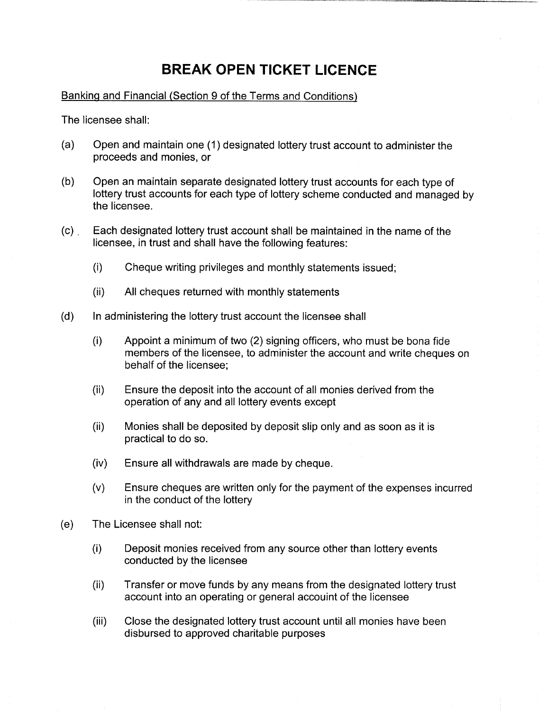## BREAK OPEN TICKET LICENCE

Banking and Financial (Section 9 of the Terms and Conditions)

The licensee shall

- (a) Open and maintain one (1) designated lottery trust account to administer the proceeds and monies, or
- b Open an maintain separate designated lottery trust accounts for each type of lottery trust accounts for each type of lottery scheme conducted and managed by the licensee
- (c) Each designated lottery trust account shall be maintained in the name of the licensee, in trust and shall have the following features:
	- $(i)$  Cheque writing privileges and monthly statements issued:
	- $(ii)$  All cheques returned with monthly statements
- (d) In administering the lottery trust account the licensee shall
	- In administering the lottery trust account the licensee shall<br>(i) Appoint a minimum of two (2) signing officers, who must be bona fide<br>members of the licensee, to administer the account and write cheques on behalf of the licensee
	- (ii) Ensure the deposit into the account of all monies derived from the operation of any and all lottery events except
	- $(ii)$  Monies shall be deposited by deposit slip only and as soon as it is practical to do so
	- $(iv)$  Ensure all withdrawals are made by cheque.
	- $(v)$  Ensure cheques are written only for the payment of the expenses incurred in the conduct of the lottery
- (e) The Licensee shall not:
	- (i) Deposit monies received from any source other than lottery events conducted by the licensee
	- $(ii)$  Transfer or move funds by any means from the designated lottery trust account into an operating or general accouint of the licensee
	- (iii) Close the designated lottery trust account until all monies have been disbursed to approved charitable purposes